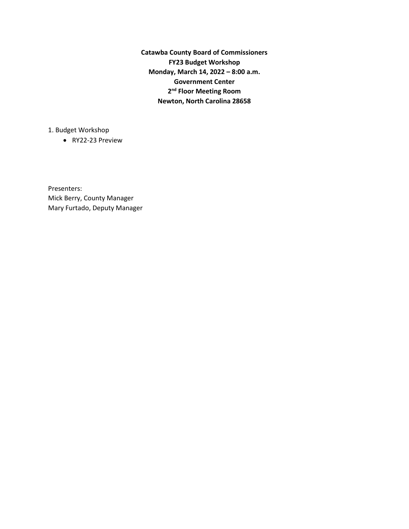**Catawba County Board of Commissioners FY23 Budget Workshop Monday, March 14, 2022 – 8:00 a.m. Government Center 2nd Floor Meeting Room Newton, North Carolina 28658**

1. Budget Workshop

• RY22-23 Preview

Presenters: Mick Berry, County Manager Mary Furtado, Deputy Manager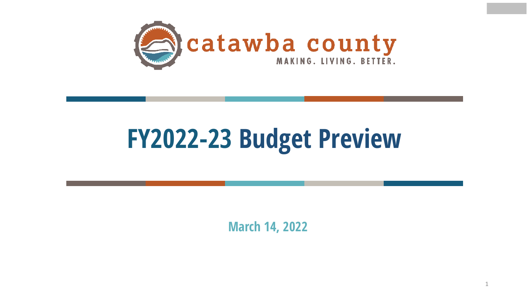

# **FY2022-23 Budget Preview**

**March 14, 2022**

1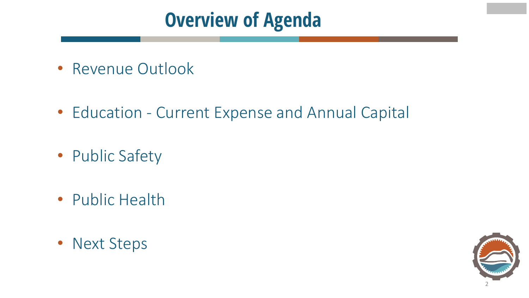## **Overview of Agenda**

- Revenue Outlook
- Education Current Expense and Annual Capital
- Public Safety
- Public Health
- Next Steps

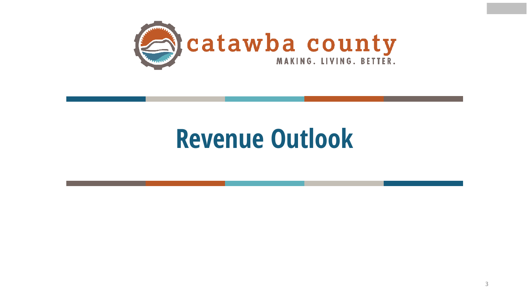

## **Revenue Outlook**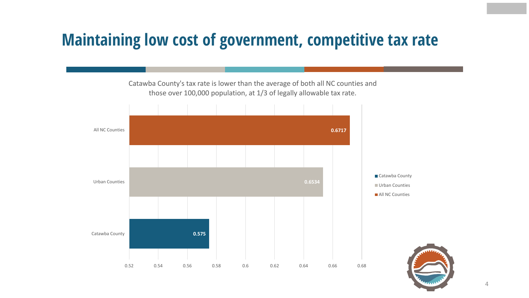### **Maintaining low cost of government, competitive tax rate**

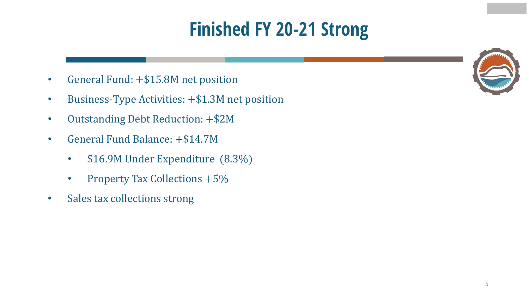## **Finished FY 20-21 Strong**

- General Fund: +\$15.8M net position
- Business-Type Activities: +\$1.3M net position
- Outstanding Debt Reduction: +\$2M
- General Fund Balance: +\$14.7M
	- \$16.9M Under Expenditure (8.3%)
	- Property Tax Collections +5%
- Sales tax collections strong

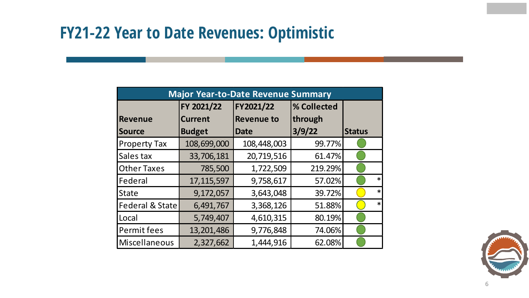### **FY21-22 Year to Date Revenues: Optimistic**

| <b>Major Year-to-Date Revenue Summary</b> |                |                          |         |               |        |  |  |
|-------------------------------------------|----------------|--------------------------|---------|---------------|--------|--|--|
|                                           | FY 2021/22     | FY2021/22<br>% Collected |         |               |        |  |  |
| <b>Revenue</b>                            | <b>Current</b> | <b>Revenue to</b>        | through |               |        |  |  |
| Source                                    | <b>Budget</b>  | <b>Date</b>              | 3/9/22  | <b>Status</b> |        |  |  |
| <b>Property Tax</b>                       | 108,699,000    | 108,448,003              | 99.77%  |               |        |  |  |
| Sales tax                                 | 33,706,181     | 20,719,516               | 61.47%  |               |        |  |  |
| <b>Other Taxes</b>                        | 785,500        | 1,722,509                | 219.29% |               |        |  |  |
| Federal                                   | 17, 115, 597   | 9,758,617                | 57.02%  |               | $\ast$ |  |  |
| <b>State</b>                              | 9,172,057      | 3,643,048                | 39.72%  |               | $\ast$ |  |  |
| <b>Federal &amp; State</b>                | 6,491,767      | 3,368,126                | 51.88%  |               | $\ast$ |  |  |
| Local                                     | 5,749,407      | 4,610,315                | 80.19%  |               |        |  |  |
| Permit fees                               | 13,201,486     | 9,776,848                | 74.06%  |               |        |  |  |
| Miscellaneous                             | 2,327,662      | 1,444,916                | 62.08%  |               |        |  |  |

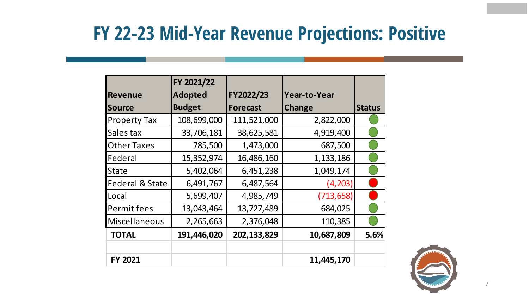### **FY 22-23 Mid-Year Revenue Projections: Positive**

|                            | FY 2021/22     |                 |               |               |
|----------------------------|----------------|-----------------|---------------|---------------|
| <b>Revenue</b>             | <b>Adopted</b> | FY2022/23       | Year-to-Year  |               |
| <b>Source</b>              | <b>Budget</b>  | <b>Forecast</b> | <b>Change</b> | <b>Status</b> |
| <b>Property Tax</b>        | 108,699,000    | 111,521,000     | 2,822,000     |               |
| Sales tax                  | 33,706,181     | 38,625,581      | 4,919,400     |               |
| <b>Other Taxes</b>         | 785,500        | 1,473,000       | 687,500       |               |
| Federal                    | 15,352,974     | 16,486,160      | 1,133,186     |               |
| <b>State</b>               | 5,402,064      | 6,451,238       | 1,049,174     |               |
| <b>Federal &amp; State</b> | 6,491,767      | 6,487,564       | (4,203)       |               |
| Local                      | 5,699,407      | 4,985,749       | (713, 658)    |               |
| Permit fees                | 13,043,464     | 13,727,489      | 684,025       |               |
| Miscellaneous              | 2,265,663      | 2,376,048       | 110,385       |               |
| <b>TOTAL</b>               | 191,446,020    | 202,133,829     | 10,687,809    | 5.6%          |
|                            |                |                 |               |               |
| <b>FY 2021</b>             |                |                 | 11,445,170    |               |

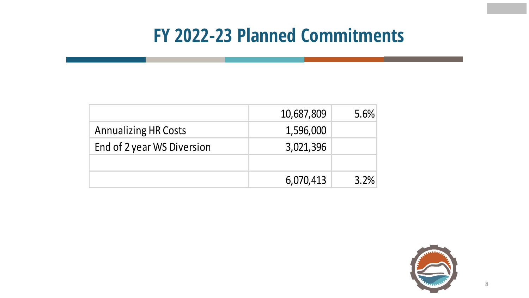### **FY 2022-23 Planned Commitments**

|                             | 10,687,809 | 5.6% |
|-----------------------------|------------|------|
| <b>Annualizing HR Costs</b> | 1,596,000  |      |
| End of 2 year WS Diversion  | 3,021,396  |      |
|                             |            |      |
|                             | 6,070,413  | 3.2% |

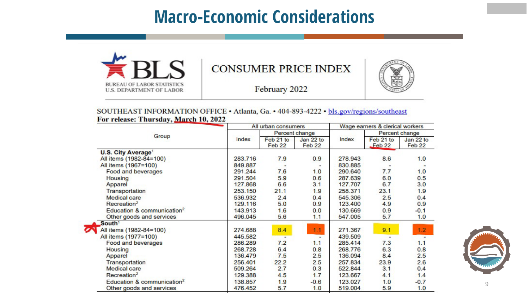### **Macro-Economic Considerations**



#### **CONSUMER PRICE INDEX**



February 2022

SOUTHEAST INFORMATION OFFICE . Atlanta, Ga. . 404-893-4222 . bls.gov/regions/southeast For release: Thursday, March 10, 2022

|                                        |         | All urban consumers            |                                |         | Wage earners & clerical workers |                     |  |
|----------------------------------------|---------|--------------------------------|--------------------------------|---------|---------------------------------|---------------------|--|
|                                        |         | Percent change                 |                                |         | Percent change                  |                     |  |
| Group                                  | Index   | Feb 21 to<br>Feb <sub>22</sub> | Jan 22 to<br>Feb <sub>22</sub> | Index   | Feb 21 to<br>Feb <sub>22</sub>  | Jan 22 to<br>Feb 22 |  |
| <b>U.S. City Average<sup>1</sup></b>   |         |                                |                                |         |                                 |                     |  |
| All items (1982-84=100)                | 283.716 | 7.9                            | 0.9                            | 278.943 | 8.6                             | 1.0                 |  |
| All items (1967=100)                   | 849.887 |                                |                                | 830.885 |                                 |                     |  |
| Food and beverages                     | 291.244 | 7.6                            | 1.0                            | 290.640 | 7.7                             | 1.0                 |  |
| Housing                                | 291.504 | 5.9                            | 0.6                            | 287.639 | 6.0                             | 0.5                 |  |
| Apparel                                | 127.868 | 6.6                            | 3.1                            | 127.707 | 6.7                             | 3.0                 |  |
| Transportation                         | 253.150 | 21.1                           | 1.9                            | 258.371 | 23.1                            | 1.9                 |  |
| <b>Medical care</b>                    | 536.932 | 2.4                            | 0.4                            | 545.306 | 2.5                             | 0.4                 |  |
| Recreation <sup>2</sup>                | 129.116 | 5.0                            | 0.9                            | 123,400 | 4.9                             | 0.9                 |  |
| Education & communication <sup>2</sup> | 143.913 | 1.6                            | 0.0                            | 130.669 | 0.9                             | $-0.1$              |  |
| Other goods and services               | 496.045 | 5.6                            | 1.1                            | 547.005 | 5.7                             | 1.0                 |  |
| South <sup>1</sup>                     |         |                                |                                |         |                                 |                     |  |
| All items (1982-84=100)                | 274.688 | 8.4                            | 1.1                            | 271.367 | 9.1                             | 1.2                 |  |
| All items (1977=100)                   | 445.582 | $\overline{a}$                 | $\blacksquare$                 | 439.509 | $\overline{\phantom{0}}$        |                     |  |
| Food and beverages                     | 286.289 | 7.2                            | 1.1                            | 285.414 | 7.3                             | 1.1                 |  |
| Housing                                | 268.728 | 6.4                            | 0.8                            | 268.776 | 6.3                             | 0.8                 |  |
| Apparel                                | 136.479 | 7.5                            | 2.5                            | 136.094 | 8.4                             | 2.5                 |  |
| Transportation                         | 256.401 | 22.2                           | 2.5                            | 257.834 | 23.9                            | 2.6                 |  |
| <b>Medical care</b>                    | 509.264 | 2.7                            | 0.3                            | 522.844 | 3.1                             | 0.4                 |  |
| Recreation <sup>2</sup>                | 129.388 | 4.5                            | 1.7                            | 123.667 | 4.1                             | 1.4                 |  |
| Education & communication <sup>2</sup> | 138.857 | 1.9                            | $-0.6$                         | 123.027 | 1.0                             | $-0.7$              |  |
| Other goods and services               | 476.452 | 5.7                            | 1.0                            | 519.004 | 5.9                             | 1.0                 |  |



9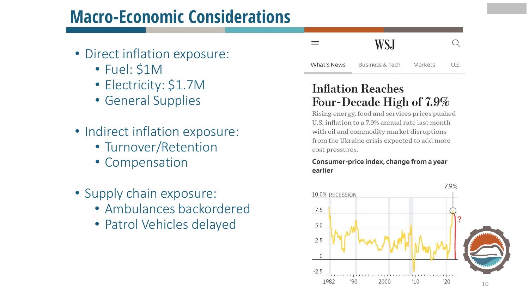### **Macro-Economic Considerations**

- Direct inflation exposure:
	- Fuel: \$1M
	- Electricity: \$1.7M
	- General Supplies
- Indirect inflation exposure:
	- Turnover/Retention
	- Compensation
- Supply chain exposure:
	- Ambulances backordered
	- Patrol Vehicles delayed

#### **WSJ**  $\Omega$

 $U.S.$ What's News **Business & Tech** Markets

 $\equiv$ 

### **Inflation Reaches** Four-Decade High of 7.9%

Rising energy, food and services prices pushed U.S. inflation to a 7.9% annual rate last month with oil and commodity market disruptions from the Ukraine crisis expected to add more cost pressures.

#### Consumer-price index, change from a year earlier

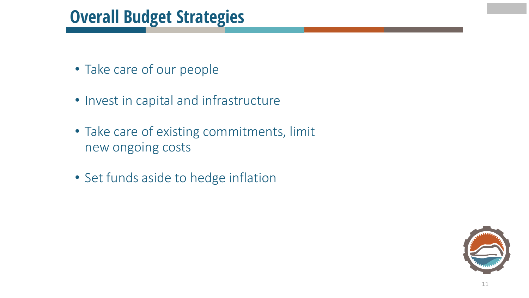### **Overall Budget Strategies**

- Take care of our people
- Invest in capital and infrastructure
- Take care of existing commitments, limit new ongoing costs
- Set funds aside to hedge inflation

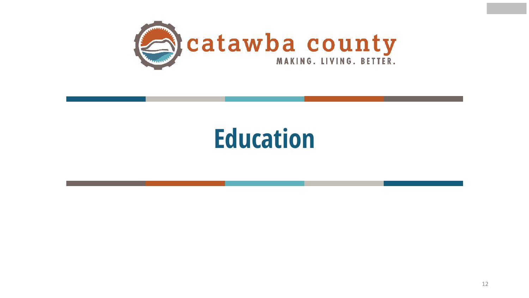

## **Education**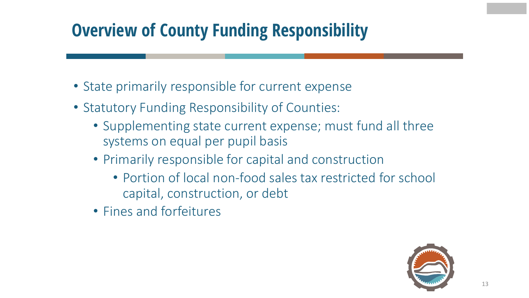### **Overview of County Funding Responsibility**

- State primarily responsible for current expense
- Statutory Funding Responsibility of Counties:
	- Supplementing state current expense; must fund all three systems on equal per pupil basis
	- Primarily responsible for capital and construction
		- Portion of local non-food sales tax restricted for school capital, construction, or debt
	- Fines and forfeitures

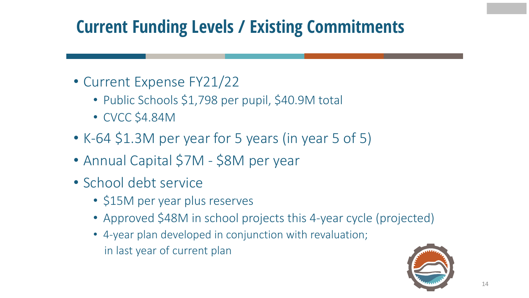### **Current Funding Levels / Existing Commitments**

- Current Expense FY21/22
	- Public Schools \$1,798 per pupil, \$40.9M total
	- CVCC \$4.84M
- K-64 \$1.3M per year for 5 years (in year 5 of 5)
- Annual Capital \$7M \$8M per year
- School debt service
	- \$15M per year plus reserves
	- Approved \$48M in school projects this 4-year cycle (projected)
	- 4-year plan developed in conjunction with revaluation; in last year of current plan

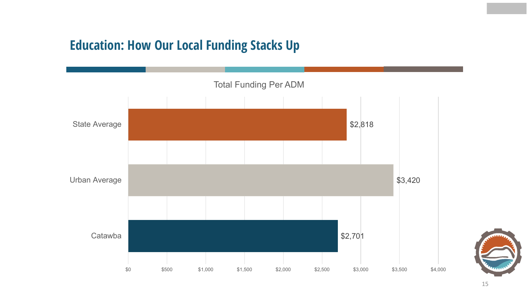### **Education: How Our Local Funding Stacks Up**



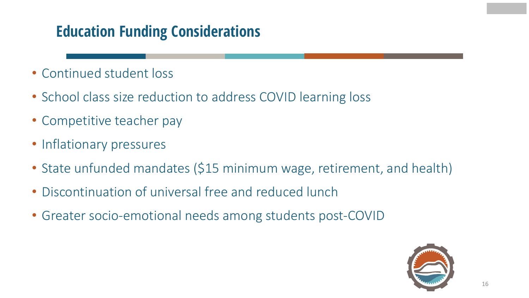### **Education Funding Considerations**

- Continued student loss
- School class size reduction to address COVID learning loss
- Competitive teacher pay
- Inflationary pressures
- State unfunded mandates (\$15 minimum wage, retirement, and health)
- Discontinuation of universal free and reduced lunch
- Greater socio-emotional needs among students post-COVID

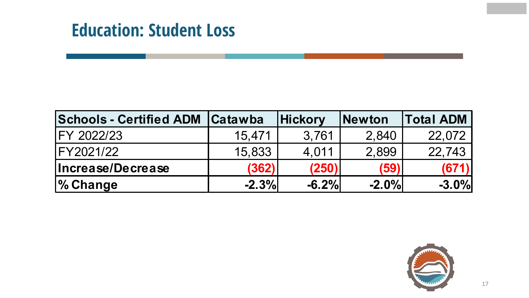### **Education: Student Loss**

| <b>Schools - Certified ADM   Catawba</b> |         | <b>Hickory</b> | <b>Newton</b> | <b>Total ADM</b> |
|------------------------------------------|---------|----------------|---------------|------------------|
| IFY 2022/23                              | 15,471  | 3,761          | 2,840         | 22,072           |
| IFY2021/22                               | 15,833  | 4,011          | 2,899         | 22,743           |
| Increase/Decrease                        | (362)   | (250)          | (59)          | (671)            |
| <b>% Change</b>                          | $-2.3%$ | $-6.2%$        | $-2.0%$       | $-3.0%$          |

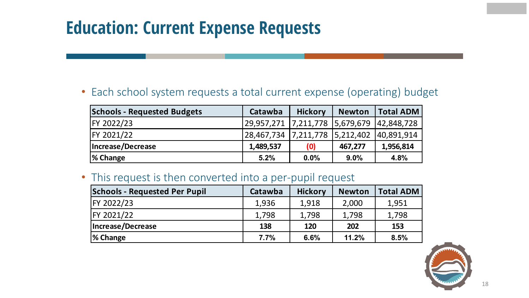### **Education: Current Expense Requests**

• Each school system requests a total current expense (operating) budget

| <b>Schools - Requested Budgets</b> | Catawba               | <b>Hickory</b> | <b>Newton</b> | <b>Total ADM</b> |
|------------------------------------|-----------------------|----------------|---------------|------------------|
| FY 2022/23                         | 29,957,271  7,211,778 |                | 5,679,679     | 42,848,728       |
| FY 2021/22                         | 28,467,734            | 7,211,778      | 5,212,402     | 40,891,914       |
| Increase/Decrease                  | 1,489,537             | (0)            | 467,277       | 1,956,814        |
| % Change                           | 5.2%                  | 0.0%           | 9.0%          | 4.8%             |

• This request is then converted into a per-pupil request

| <b>Schools - Requested Per Pupil</b> | Catawba | <b>Hickory</b> | <b>Newton</b> | <b>Total ADM</b> |
|--------------------------------------|---------|----------------|---------------|------------------|
| FY 2022/23                           | 1,936   | 1,918          | 2,000         | 1,951            |
| FY 2021/22                           | 1,798   | 1,798          | 1,798         | 1,798            |
| Increase/Decrease                    | 138     | 120            | 202           | 153              |
| % Change                             | 7.7%    | 6.6%           | 11.2%         | 8.5%             |

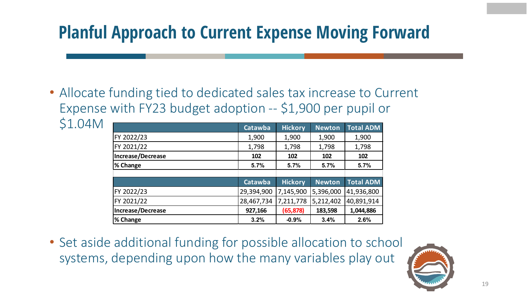### **Planful Approach to Current Expense Moving Forward**

• Allocate funding tied to dedicated sales tax increase to Current Expense with FY23 budget adoption -- \$1,900 per pupil or \$1.04M

|                   | Catawba    | <b>Hickory</b> | <b>Newton</b> | <b>Total ADM</b> |
|-------------------|------------|----------------|---------------|------------------|
| FY 2022/23        | 1,900      | 1,900          | 1,900         | 1,900            |
| FY 2021/22        | 1,798      | 1,798          | 1,798         | 1,798            |
| Increase/Decrease | 102        | 102            | 102           | 102              |
| % Change          | 5.7%       | 5.7%           | 5.7%          | 5.7%             |
|                   |            |                |               |                  |
|                   | Catawba    | <b>Hickory</b> | <b>Newton</b> | <b>Total ADM</b> |
| FY 2022/23        | 29,394,900 | 7,145,900      | 5,396,000     | 41,936,800       |
| FY 2021/22        | 28,467,734 | 7,211,778      | 5,212,402     | 40,891,914       |
| Increase/Decrease | 927,166    | (65, 878)      | 183,598       | 1,044,886        |
| % Change          | 3.2%       | $-0.9%$        | 3.4%          | 2.6%             |

• Set aside additional funding for possible allocation to school systems, depending upon how the many variables play out

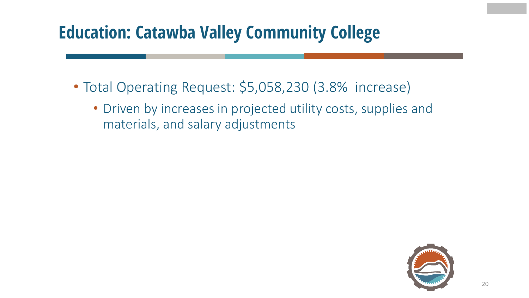### **Education: Catawba Valley Community College**

- Total Operating Request: \$5,058,230 (3.8% increase)
	- Driven by increases in projected utility costs, supplies and materials, and salary adjustments

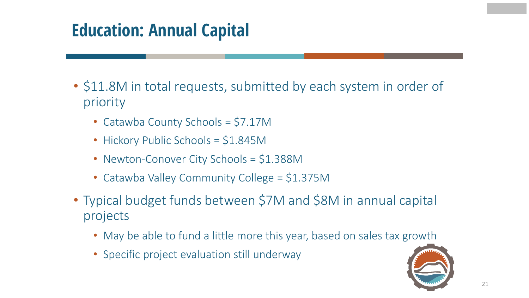### **Education: Annual Capital**

- \$11.8M in total requests, submitted by each system in order of priority
	- Catawba County Schools = \$7.17M
	- Hickory Public Schools = \$1.845M
	- Newton-Conover City Schools = \$1.388M
	- Catawba Valley Community College = \$1.375M
- Typical budget funds between \$7M and \$8M in annual capital projects
	- May be able to fund a little more this year, based on sales tax growth
	- Specific project evaluation still underway

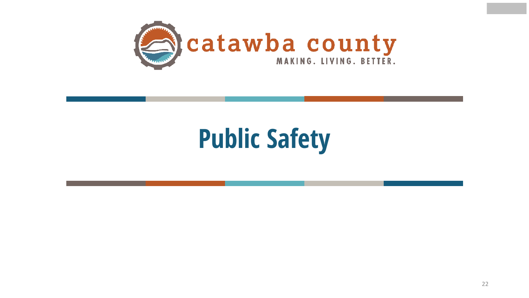

# **Public Safety**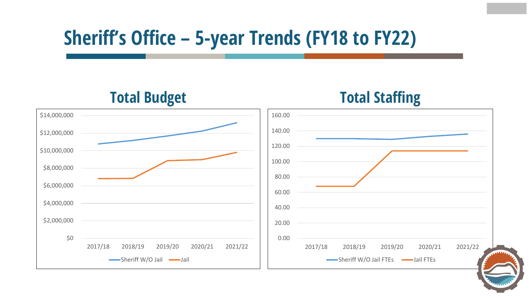## **Sheriff's Office – 5-year Trends (FY18 to FY22)**

**Total Budget** \$0 \$2,000,000 \$4,000,000 \$6,000,000 \$8,000,000 \$10,000,000 \$12,000,000 \$14,000,000 2017/18 2018/19 2019/20 2020/21 2021/22  $\longrightarrow$ Sheriff W/O Jail  $\longrightarrow$ Jail **Total Staffing**  0.00 20.00 40.00 60.00 80.00 100.00 120.00 140.00 160.00 2017/18 2018/19 2019/20 2020/21 2021/22 Sheriff W/O Jail FTEs -Jail FTEs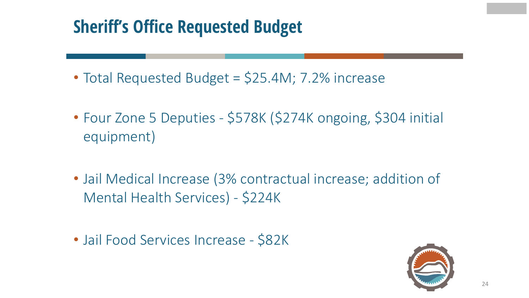### **Sheriff's Office Requested Budget**

- Total Requested Budget = \$25.4M; 7.2% increase
- Four Zone 5 Deputies \$578K (\$274K ongoing, \$304 initial equipment)
- Jail Medical Increase (3% contractual increase; addition of Mental Health Services) - \$224K

• Jail Food Services Increase - \$82K

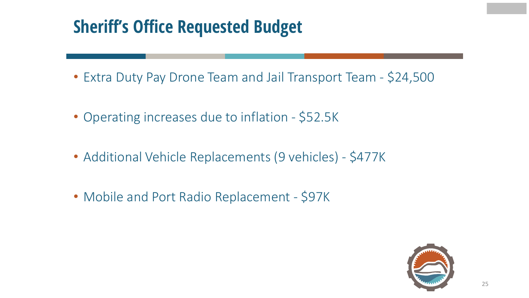### **Sheriff's Office Requested Budget**

- Extra Duty Pay Drone Team and Jail Transport Team \$24,500
- Operating increases due to inflation \$52.5K
- Additional Vehicle Replacements (9 vehicles) \$477K
- Mobile and Port Radio Replacement \$97K

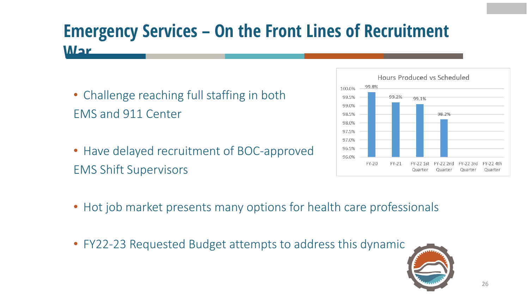### **Emergency Services – On the Front Lines of Recruitment War**

- Challenge reaching full staffing in both EMS and 911 Center
- Have delayed recruitment of BOC-approved EMS Shift Supervisors



- Hot job market presents many options for health care professionals
- FY22-23 Requested Budget attempts to address this dynamic

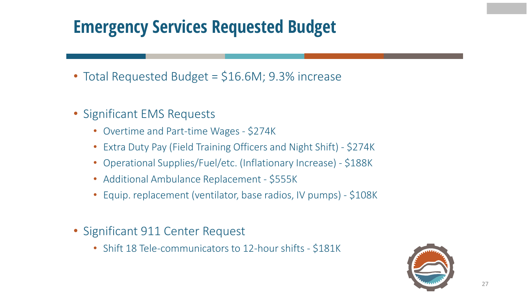### **Emergency Services Requested Budget**

- Total Requested Budget = \$16.6M; 9.3% increase
- Significant EMS Requests
	- Overtime and Part-time Wages \$274K
	- Extra Duty Pay (Field Training Officers and Night Shift) \$274K
	- Operational Supplies/Fuel/etc. (Inflationary Increase) \$188K
	- Additional Ambulance Replacement \$555K
	- Equip. replacement (ventilator, base radios, IV pumps) \$108K
- Significant 911 Center Request
	- Shift 18 Tele-communicators to 12-hour shifts \$181K

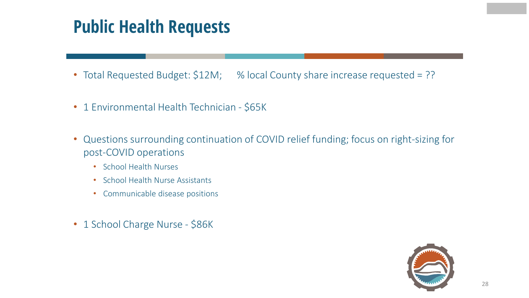### **Public Health Requests**

- Total Requested Budget: \$12M; % local County share increase requested = ??
- 1 Environmental Health Technician \$65K
- Questions surrounding continuation of COVID relief funding; focus on right-sizing for post-COVID operations
	- School Health Nurses
	- School Health Nurse Assistants
	- Communicable disease positions
- 1 School Charge Nurse \$86K

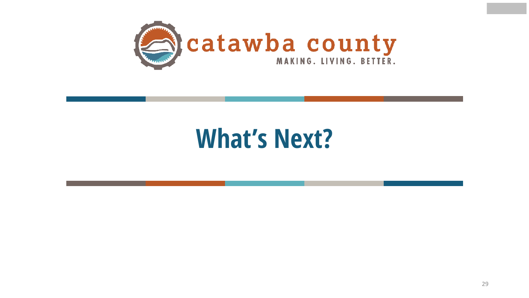

## **What's Next?**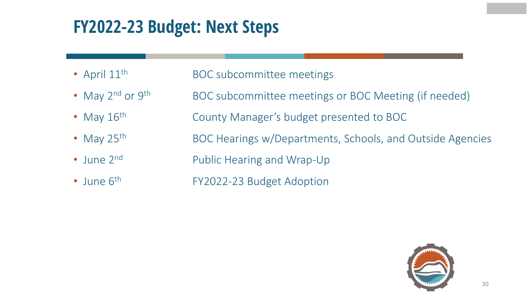### **FY2022-23 Budget: Next Steps**

- April 11<sup>th</sup> BOC subcommittee meetings
- May 2<sup>nd</sup> or 9<sup>th</sup> BOC subcommittee meetings or BOC Meeting (if needed)
- May 16<sup>th</sup> County Manager's budget presented to BOC
- May 25<sup>th</sup> BOC Hearings w/Departments, Schools, and Outside Agencies
- June 2<sup>nd</sup> Public Hearing and Wrap-Up
- 
- June 6<sup>th</sup> FY2022-23 Budget Adoption